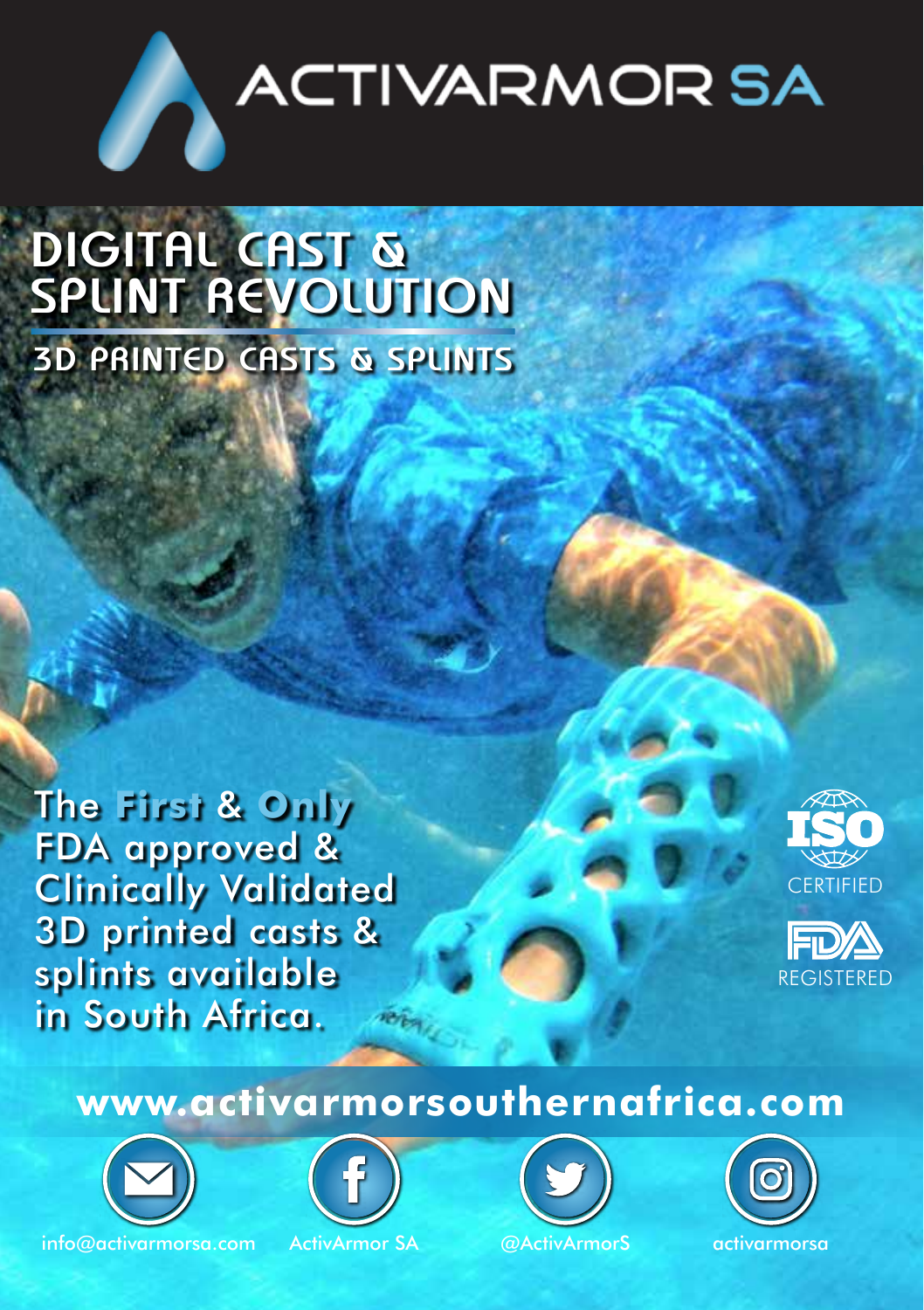

**DIGITAL CAST & SPLINT REVOLUTION 3D PRINTED CASTS & SPLINTS**

The **First** & **Only** FDA approved & Clinically Validated 3D printed casts & splints available in South Africa.





# **www.activarmorsouthernafrica.com**



info@activarmorsa.com ActivArmor SA @ActivArmorS activarmorsa